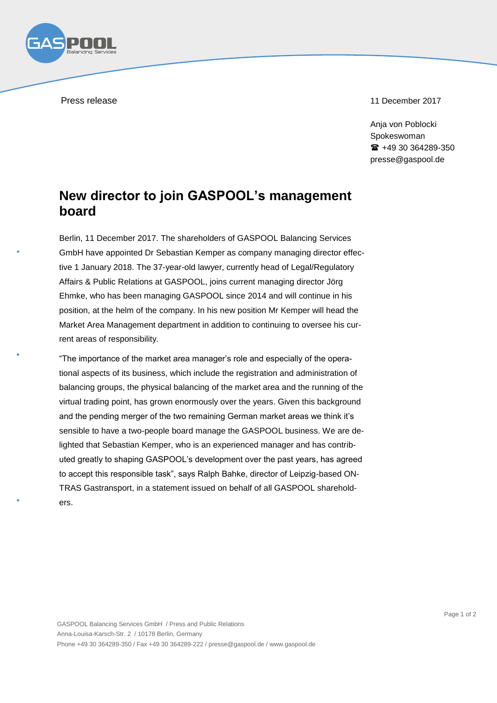Press release 11 December 2017

Ania von Poblocki Spokeswoman  $\text{ }$  +49 30 364289-350 presse@gaspool.de

## **New director to join GASPOOL's management board**

Berlin, 11 December 2017. The shareholders of GASPOOL Balancing Services GmbH have appointed Dr Sebastian Kemper as company managing director effective 1 January 2018. The 37-year-old lawyer, currently head of Legal/Regulatory Affairs & Public Relations at GASPOOL, joins current managing director Jörg Ehmke, who has been managing GASPOOL since 2014 and will continue in his position, at the helm of the company. In his new position Mr Kemper will head the Market Area Management department in addition to continuing to oversee his current areas of responsibility.

"The importance of the market area manager's role and especially of the operational aspects of its business, which include the registration and administration of balancing groups, the physical balancing of the market area and the running of the virtual trading point, has grown enormously over the years. Given this background and the pending merger of the two remaining German market areas we think it's sensible to have a two-people board manage the GASPOOL business. We are delighted that Sebastian Kemper, who is an experienced manager and has contributed greatly to shaping GASPOOL's development over the past years, has agreed to accept this responsible task", says Ralph Bahke, director of Leipzig-based ON-TRAS Gastransport, in a statement issued on behalf of all GASPOOL shareholders.